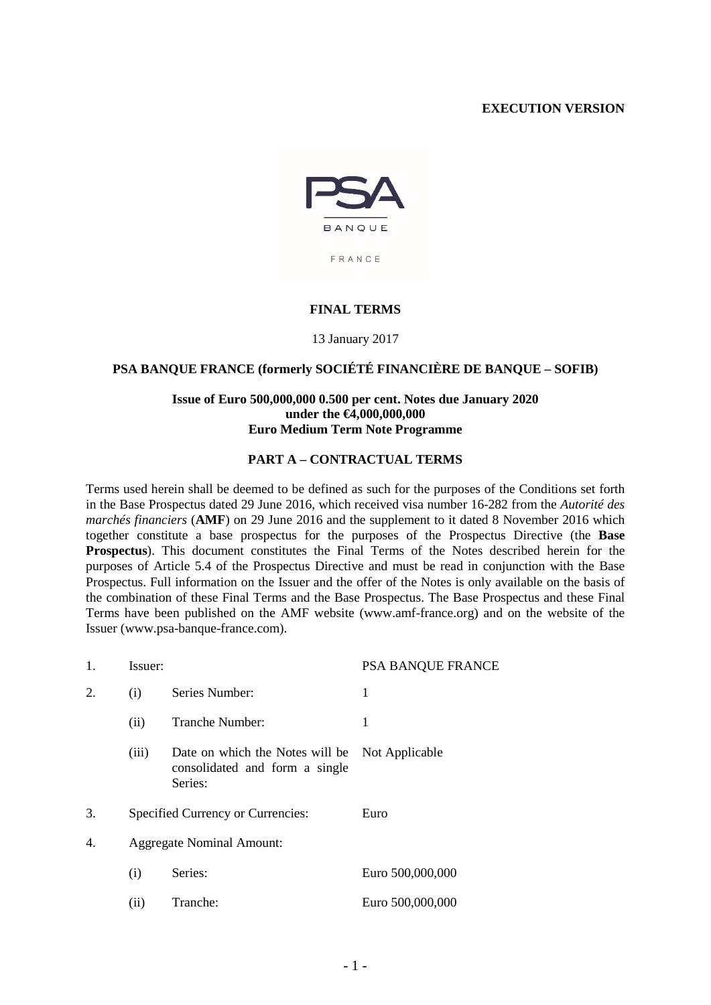## **EXECUTION VERSION**



#### **FINAL TERMS**

13 January 2017

### **PSA BANQUE FRANCE (formerly SOCIÉTÉ FINANCIÈRE DE BANQUE – SOFIB)**

### **Issue of Euro 500,000,000 0.500 per cent. Notes due January 2020 under the €4,000,000,000 Euro Medium Term Note Programme**

#### **PART A – CONTRACTUAL TERMS**

Terms used herein shall be deemed to be defined as such for the purposes of the Conditions set forth in the Base Prospectus dated 29 June 2016, which received visa number 16-282 from the *Autorité des marchés financiers* (**AMF**) on 29 June 2016 and the supplement to it dated 8 November 2016 which together constitute a base prospectus for the purposes of the Prospectus Directive (the **Base Prospectus**). This document constitutes the Final Terms of the Notes described herein for the purposes of Article 5.4 of the Prospectus Directive and must be read in conjunction with the Base Prospectus. Full information on the Issuer and the offer of the Notes is only available on the basis of the combination of these Final Terms and the Base Prospectus. The Base Prospectus and these Final Terms have been published on the AMF website (www.amf-france.org) and on the website of the Issuer (www.psa-banque-france.com).

| 1. | Issuer:                                   |                                                                              | PSA BANQUE FRANCE |
|----|-------------------------------------------|------------------------------------------------------------------------------|-------------------|
| 2. | (i)                                       | Series Number:                                                               | 1                 |
|    | (ii)                                      | Tranche Number:                                                              | 1                 |
|    | (iii)                                     | Date on which the Notes will be<br>consolidated and form a single<br>Series: | Not Applicable    |
| 3. | Specified Currency or Currencies:<br>Euro |                                                                              |                   |
| 4. | <b>Aggregate Nominal Amount:</b>          |                                                                              |                   |
|    | (i)                                       | Series:                                                                      | Euro 500,000,000  |
|    | (ii)                                      | Tranche:                                                                     | Euro 500,000,000  |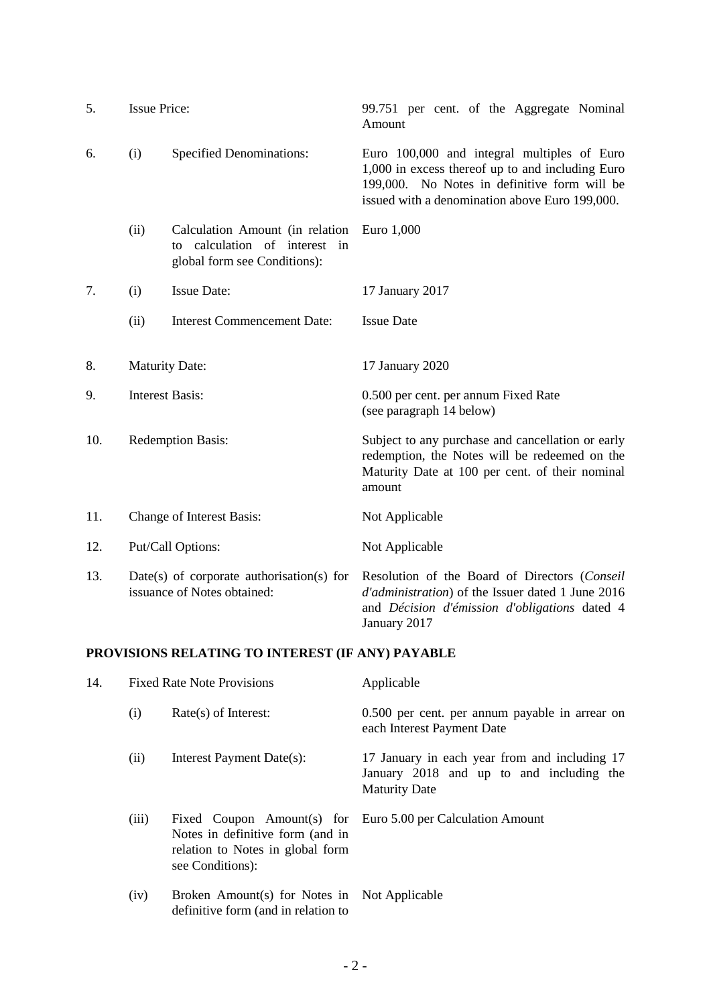| 5.  | <b>Issue Price:</b>                                                      |                                                                                                  | 99.751 per cent. of the Aggregate Nominal<br>Amount                                                                                                                                               |
|-----|--------------------------------------------------------------------------|--------------------------------------------------------------------------------------------------|---------------------------------------------------------------------------------------------------------------------------------------------------------------------------------------------------|
| 6.  | (i)                                                                      | <b>Specified Denominations:</b>                                                                  | Euro 100,000 and integral multiples of Euro<br>1,000 in excess thereof up to and including Euro<br>199,000. No Notes in definitive form will be<br>issued with a denomination above Euro 199,000. |
|     | (ii)                                                                     | Calculation Amount (in relation<br>to calculation of interest in<br>global form see Conditions): | Euro 1,000                                                                                                                                                                                        |
| 7.  | (i)                                                                      | <b>Issue Date:</b>                                                                               | 17 January 2017                                                                                                                                                                                   |
|     | (ii)                                                                     | <b>Interest Commencement Date:</b>                                                               | <b>Issue Date</b>                                                                                                                                                                                 |
| 8.  | <b>Maturity Date:</b>                                                    |                                                                                                  | 17 January 2020                                                                                                                                                                                   |
| 9.  | <b>Interest Basis:</b>                                                   |                                                                                                  | 0.500 per cent. per annum Fixed Rate<br>(see paragraph 14 below)                                                                                                                                  |
| 10. | <b>Redemption Basis:</b>                                                 |                                                                                                  | Subject to any purchase and cancellation or early<br>redemption, the Notes will be redeemed on the<br>Maturity Date at 100 per cent. of their nominal<br>amount                                   |
| 11. | Change of Interest Basis:                                                |                                                                                                  | Not Applicable                                                                                                                                                                                    |
| 12. | Put/Call Options:                                                        |                                                                                                  | Not Applicable                                                                                                                                                                                    |
| 13. | Date(s) of corporate authorisation(s) for<br>issuance of Notes obtained: |                                                                                                  | Resolution of the Board of Directors (Conseil<br>d'administration) of the Issuer dated 1 June 2016<br>and Décision d'émission d'obligations dated 4<br>January 2017                               |

# **PROVISIONS RELATING TO INTEREST (IF ANY) PAYABLE**

<span id="page-1-0"></span>

| 14. | <b>Fixed Rate Note Provisions</b> |                                                                                          | Applicable                                                                                                        |  |
|-----|-----------------------------------|------------------------------------------------------------------------------------------|-------------------------------------------------------------------------------------------------------------------|--|
|     | (i)                               | $Rate(s)$ of Interest:                                                                   | 0.500 per cent. per annum payable in arrear on<br>each Interest Payment Date                                      |  |
|     | (ii)                              | Interest Payment Date(s):                                                                | 17 January in each year from and including 17<br>January 2018 and up to and including the<br><b>Maturity Date</b> |  |
|     | (iii)                             | Notes in definitive form (and in<br>relation to Notes in global form<br>see Conditions): | Fixed Coupon Amount(s) for Euro 5.00 per Calculation Amount                                                       |  |
|     | (iv)                              | Broken Amount(s) for Notes in Not Applicable<br>definitive form (and in relation to      |                                                                                                                   |  |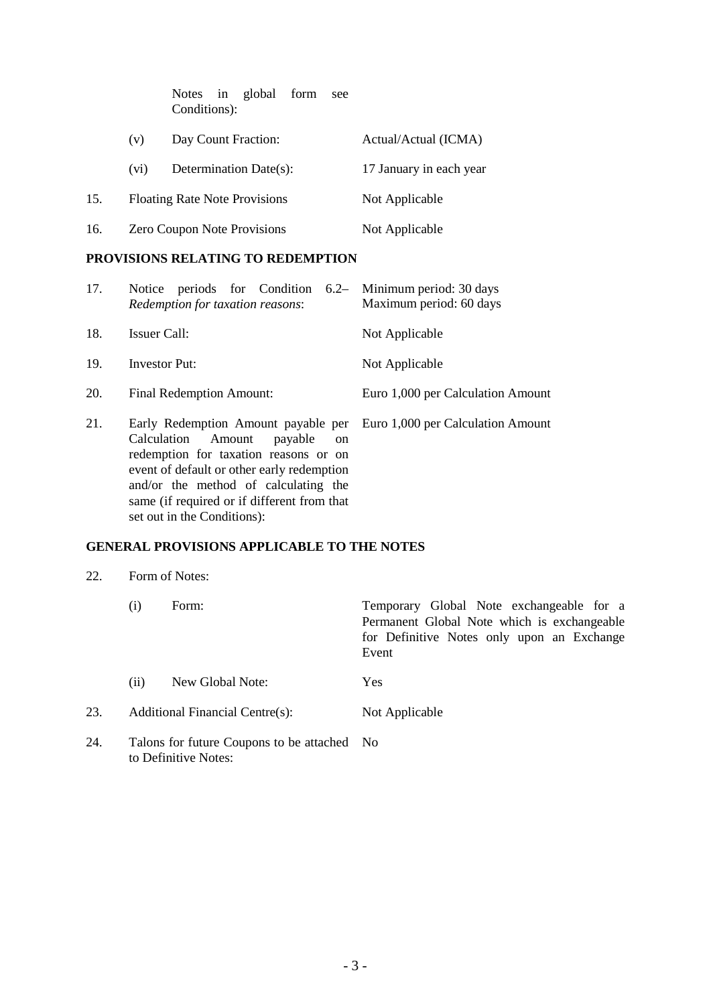|     |                                      | Notes in global form<br>see<br>Conditions): |                         |
|-----|--------------------------------------|---------------------------------------------|-------------------------|
|     | (v)                                  | Day Count Fraction:                         | Actual/Actual (ICMA)    |
|     | (v <sub>i</sub> )                    | Determination Date(s):                      | 17 January in each year |
| 15. | <b>Floating Rate Note Provisions</b> |                                             | Not Applicable          |
| 16. |                                      | <b>Zero Coupon Note Provisions</b>          | Not Applicable          |

# **PROVISIONS RELATING TO REDEMPTION**

| 17. | Notice periods for Condition 6.2– Minimum period: 30 days<br>Redemption for taxation reasons:                                                                                                                     | Maximum period: 60 days           |
|-----|-------------------------------------------------------------------------------------------------------------------------------------------------------------------------------------------------------------------|-----------------------------------|
| 18. | Issuer Call:                                                                                                                                                                                                      | Not Applicable                    |
| 19. | <b>Investor Put:</b>                                                                                                                                                                                              | Not Applicable                    |
| 20. | <b>Final Redemption Amount:</b>                                                                                                                                                                                   | Euro 1,000 per Calculation Amount |
| 21. | Early Redemption Amount payable per Euro 1,000 per Calculation Amount<br>Calculation<br>Amount<br>payable<br><sub>on</sub><br>redemption for taxation reasons or on<br>event of default or other early redemption |                                   |

# **GENERAL PROVISIONS APPLICABLE TO THE NOTES**

and/or the method of calculating the same (if required or if different from that

set out in the Conditions):

| 22. | Form of Notes: |
|-----|----------------|
|-----|----------------|

|     | $\left( 1\right)$                                                   | Form:            | Temporary Global Note exchangeable for a<br>Permanent Global Note which is exchangeable<br>for Definitive Notes only upon an Exchange<br>Event |
|-----|---------------------------------------------------------------------|------------------|------------------------------------------------------------------------------------------------------------------------------------------------|
|     | (ii)                                                                | New Global Note: | Yes                                                                                                                                            |
| 23. | Additional Financial Centre(s):                                     |                  | Not Applicable                                                                                                                                 |
| 24. | Talons for future Coupons to be attached No<br>to Definitive Notes: |                  |                                                                                                                                                |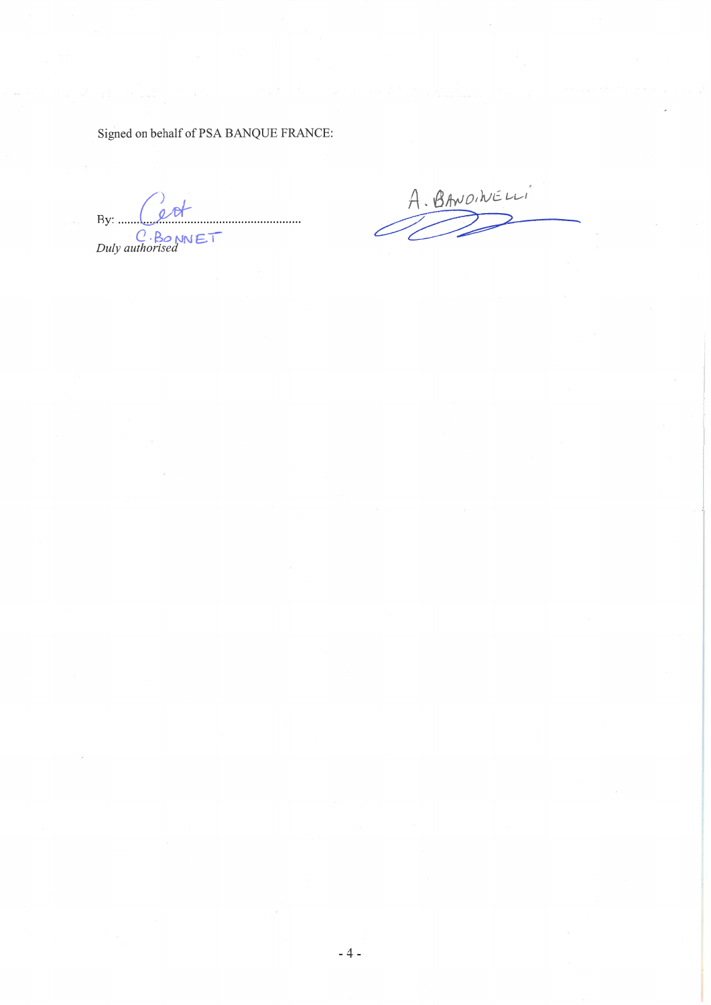Signed on behalf of PSA BANQUE FRANCE:

 $\phi$ By: .......  $C \cdot B$ o NNET

A. BANOINELLI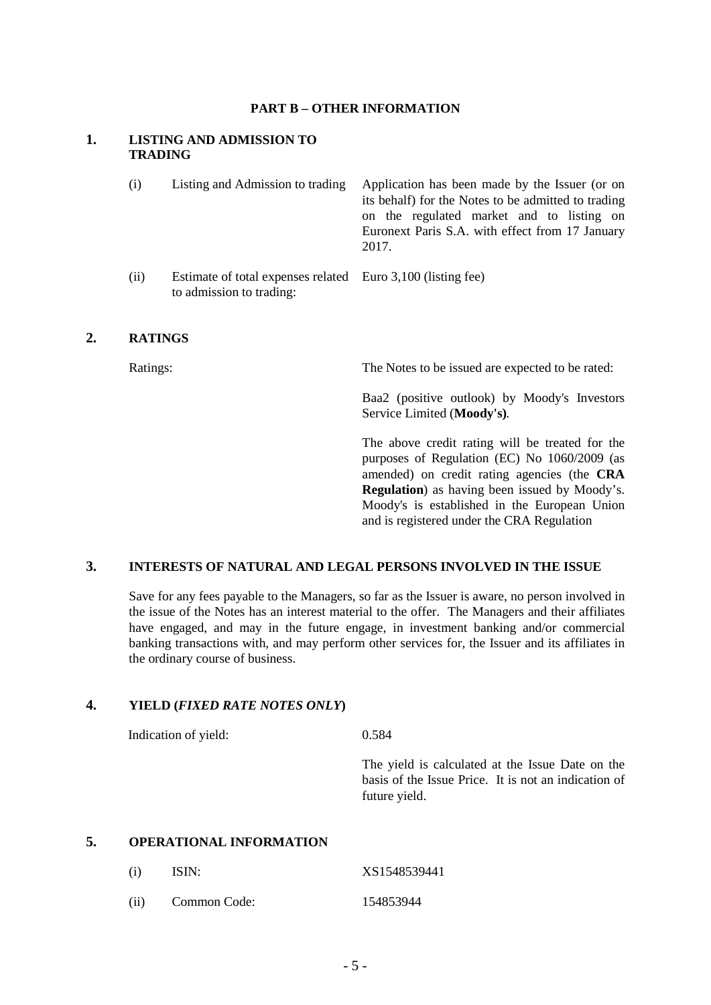#### **PART B – OTHER INFORMATION**

### **1. LISTING AND ADMISSION TO TRADING**

| (i)  | Listing and Admission to trading                                                        | Application has been made by the Issuer (or on<br>its behalf) for the Notes to be admitted to trading<br>on the regulated market and to listing on<br>Euronext Paris S.A. with effect from 17 January<br>2017. |
|------|-----------------------------------------------------------------------------------------|----------------------------------------------------------------------------------------------------------------------------------------------------------------------------------------------------------------|
| (ii) | Estimate of total expenses related Euro 3,100 (listing fee)<br>to admission to trading: |                                                                                                                                                                                                                |

# **2. RATINGS**

Ratings: The Notes to be issued are expected to be rated:

Baa2 (positive outlook) by Moody's Investors Service Limited (**Moody's)***.* 

The above credit rating will be treated for the purposes of Regulation (EC) No 1060/2009 (as amended) on credit rating agencies (the **CRA Regulation**) as having been issued by Moody's. Moody's is established in the European Union and is registered under the CRA Regulation

### **3. INTERESTS OF NATURAL AND LEGAL PERSONS INVOLVED IN THE ISSUE**

Save for any fees payable to the Managers, so far as the Issuer is aware, no person involved in the issue of the Notes has an interest material to the offer. The Managers and their affiliates have engaged, and may in the future engage, in investment banking and/or commercial banking transactions with, and may perform other services for, the Issuer and its affiliates in the ordinary course of business.

# **4. YIELD (***FIXED RATE NOTES ONLY***)**

Indication of yield: 0.584

The yield is calculated at the Issue Date on the basis of the Issue Price. It is not an indication of future yield.

# **5. OPERATIONAL INFORMATION**

| (i)  | ISIN:        | XS1548539441 |
|------|--------------|--------------|
| (ii) | Common Code: | 154853944    |